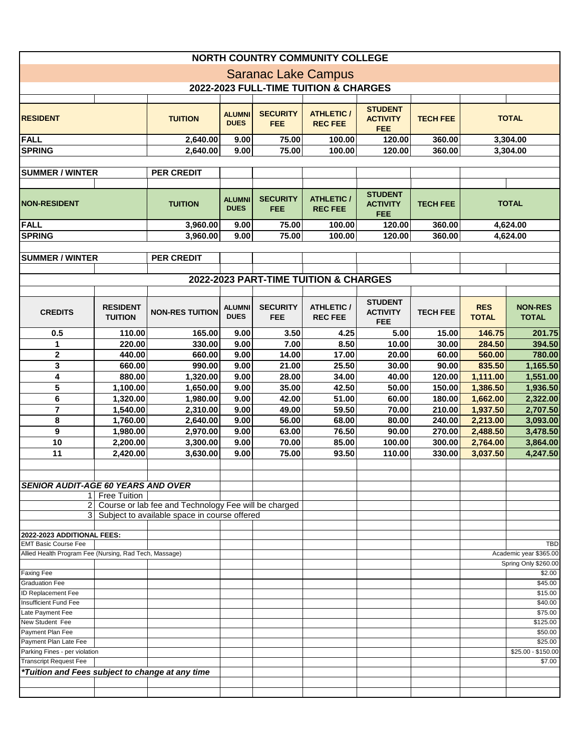| <b>NORTH COUNTRY COMMUNITY COLLEGE</b>                              |                                   |                                                      |                              |                               |                                       |                                                 |                 |                            |                                                |  |  |
|---------------------------------------------------------------------|-----------------------------------|------------------------------------------------------|------------------------------|-------------------------------|---------------------------------------|-------------------------------------------------|-----------------|----------------------------|------------------------------------------------|--|--|
|                                                                     |                                   |                                                      |                              |                               |                                       |                                                 |                 |                            |                                                |  |  |
| <b>Saranac Lake Campus</b><br>2022-2023 FULL-TIME TUITION & CHARGES |                                   |                                                      |                              |                               |                                       |                                                 |                 |                            |                                                |  |  |
|                                                                     |                                   |                                                      |                              |                               |                                       |                                                 |                 |                            |                                                |  |  |
| <b>RESIDENT</b>                                                     |                                   | <b>TUITION</b>                                       | <b>ALUMNI</b><br><b>DUES</b> | <b>SECURITY</b><br><b>FEE</b> | <b>ATHLETIC /</b><br><b>REC FEE</b>   | <b>STUDENT</b><br><b>ACTIVITY</b><br><b>FEE</b> | <b>TECH FEE</b> | <b>TOTAL</b>               |                                                |  |  |
| FALL                                                                |                                   | 2,640.00                                             | 9.00                         | 75.00                         | 100.00                                | 120.00                                          | 360.00          | 3,304.00                   |                                                |  |  |
| <b>SPRING</b>                                                       |                                   | 2,640.00                                             | 9.00                         | 75.00                         | 100.00                                | 120.00                                          | 360.00          | 3,304.00                   |                                                |  |  |
|                                                                     |                                   |                                                      |                              |                               |                                       |                                                 |                 |                            |                                                |  |  |
| <b>SUMMER / WINTER</b>                                              |                                   | <b>PER CREDIT</b>                                    |                              |                               |                                       |                                                 |                 |                            |                                                |  |  |
|                                                                     |                                   |                                                      |                              |                               |                                       |                                                 |                 |                            |                                                |  |  |
| <b>NON-RESIDENT</b>                                                 |                                   | <b>TUITION</b>                                       | <b>ALUMNI</b><br><b>DUES</b> | <b>SECURITY</b><br><b>FEE</b> | <b>ATHLETIC /</b><br><b>REC FEE</b>   | <b>STUDENT</b><br><b>ACTIVITY</b><br><b>FEE</b> | <b>TECH FEE</b> | <b>TOTAL</b>               |                                                |  |  |
| FALL                                                                |                                   | 3,960.00                                             | 9.00                         | 75.00                         | 100.00                                | 120.00                                          | 360.00          | 4,624.00                   |                                                |  |  |
| <b>SPRING</b>                                                       |                                   | 3,960.00                                             | 9.00                         | 75.00                         | 100.00                                | 120.00                                          | 360.00          |                            | 4,624.00                                       |  |  |
|                                                                     |                                   |                                                      |                              |                               |                                       |                                                 |                 |                            |                                                |  |  |
| <b>SUMMER / WINTER</b>                                              |                                   | <b>PER CREDIT</b>                                    |                              |                               |                                       |                                                 |                 |                            |                                                |  |  |
|                                                                     |                                   |                                                      |                              |                               |                                       |                                                 |                 |                            |                                                |  |  |
|                                                                     |                                   |                                                      |                              |                               | 2022-2023 PART-TIME TUITION & CHARGES |                                                 |                 |                            |                                                |  |  |
|                                                                     |                                   |                                                      |                              |                               |                                       |                                                 |                 |                            |                                                |  |  |
| <b>CREDITS</b>                                                      | <b>RESIDENT</b><br><b>TUITION</b> | <b>NON-RES TUITION</b>                               | <b>ALUMNI</b><br><b>DUES</b> | <b>SECURITY</b><br><b>FEE</b> | <b>ATHLETIC /</b><br><b>REC FEE</b>   | <b>STUDENT</b><br><b>ACTIVITY</b><br><b>FEE</b> | <b>TECH FEE</b> | <b>RES</b><br><b>TOTAL</b> | <b>NON-RES</b><br><b>TOTAL</b>                 |  |  |
| 0.5                                                                 | 110.00                            | 165.00                                               | 9.00                         | 3.50                          | 4.25                                  | 5.00                                            | 15.00           | 146.75                     | 201.75                                         |  |  |
| 1                                                                   | 220.00                            | 330.00                                               | 9.00                         | 7.00                          | 8.50                                  | 10.00                                           | 30.00           | 284.50                     | 394.50                                         |  |  |
| $\mathbf{2}$                                                        | 440.00                            | 660.00                                               | 9.00                         | 14.00                         | 17.00                                 | 20.00                                           | 60.00           | 560.00                     | 780.00                                         |  |  |
| 3                                                                   | 660.00                            | 990.00                                               | 9.00                         | 21.00                         | 25.50                                 | 30.00                                           | 90.00           | 835.50                     | 1,165.50                                       |  |  |
| 4                                                                   | 880.00                            | 1,320.00                                             | 9.00                         | 28.00                         | 34.00                                 | 40.00                                           | 120.00          | 1,111.00                   | 1,551.00                                       |  |  |
| 5                                                                   | 1,100.00                          | 1,650.00                                             | 9.00                         | 35.00                         | 42.50                                 | 50.00                                           | 150.00          | 1,386.50                   | 1,936.50                                       |  |  |
| 6                                                                   | 1,320.00                          | 1,980.00                                             | 9.00                         | 42.00                         | 51.00                                 | 60.00                                           | 180.00          | 1,662.00                   | 2,322.00                                       |  |  |
| $\overline{\mathbf{z}}$                                             | 1,540.00                          | 2,310.00                                             | 9.00                         | 49.00                         | 59.50                                 | 70.00                                           | 210.00          | 1,937.50                   | 2,707.50                                       |  |  |
| 8                                                                   | 1,760.00                          | 2,640.00                                             | 9.00                         | 56.00                         | 68.00                                 | 80.00                                           | 240.00          | 2,213.00                   | 3,093.00                                       |  |  |
| $\overline{9}$                                                      | 1,980.00                          | 2,970.00                                             | 9.00                         | 63.00                         | 76.50                                 | 90.00                                           | 270.00          | 2,488.50                   | 3,478.50                                       |  |  |
| 10                                                                  |                                   |                                                      |                              |                               | 85.00                                 |                                                 |                 |                            |                                                |  |  |
|                                                                     | 2,200.00                          | 3,300.00                                             | 9.00                         | 70.00                         |                                       | 100.00                                          | 300.00          | 2,764.00                   | 3,864.00                                       |  |  |
| 11                                                                  | 2,420.00                          | 3,630.00                                             | 9.00                         | 75.00                         | 93.50                                 | 110.00                                          | 330.00          | 3,037.50                   | 4,247.50                                       |  |  |
|                                                                     |                                   |                                                      |                              |                               |                                       |                                                 |                 |                            |                                                |  |  |
|                                                                     |                                   |                                                      |                              |                               |                                       |                                                 |                 |                            |                                                |  |  |
| <b>SENIOR AUDIT-AGE 60 YEARS AND OVER</b>                           | 1 Free Tuition                    |                                                      |                              |                               |                                       |                                                 |                 |                            |                                                |  |  |
| $\overline{2}$                                                      |                                   | Course or lab fee and Technology Fee will be charged |                              |                               |                                       |                                                 |                 |                            |                                                |  |  |
|                                                                     |                                   | 3 Subject to available space in course offered       |                              |                               |                                       |                                                 |                 |                            |                                                |  |  |
|                                                                     |                                   |                                                      |                              |                               |                                       |                                                 |                 |                            |                                                |  |  |
| 2022-2023 ADDITIONAL FEES:                                          |                                   |                                                      |                              |                               |                                       |                                                 |                 |                            |                                                |  |  |
| <b>EMT Basic Course Fee</b>                                         |                                   |                                                      |                              |                               |                                       |                                                 |                 |                            | <b>TBD</b>                                     |  |  |
| Allied Health Program Fee (Nursing, Rad Tech, Massage)              |                                   |                                                      |                              |                               |                                       |                                                 |                 |                            | Academic year \$365.00<br>Spring Only \$260.00 |  |  |
| <b>Faxing Fee</b>                                                   |                                   |                                                      |                              |                               |                                       |                                                 |                 |                            | \$2.00                                         |  |  |
| <b>Graduation Fee</b>                                               |                                   |                                                      |                              |                               |                                       |                                                 |                 |                            | \$45.00                                        |  |  |
| <b>ID Replacement Fee</b>                                           |                                   |                                                      |                              |                               |                                       |                                                 |                 |                            | \$15.00                                        |  |  |
| <b>Insufficient Fund Fee</b>                                        |                                   |                                                      |                              |                               |                                       |                                                 |                 |                            | \$40.00                                        |  |  |
| Late Payment Fee                                                    |                                   |                                                      |                              |                               |                                       |                                                 |                 |                            | \$75.00                                        |  |  |
| New Student Fee                                                     |                                   |                                                      |                              |                               |                                       |                                                 |                 |                            | \$125.00                                       |  |  |
| Payment Plan Fee                                                    |                                   |                                                      |                              |                               |                                       |                                                 |                 |                            | \$50.00                                        |  |  |
| Payment Plan Late Fee                                               |                                   |                                                      |                              |                               |                                       |                                                 |                 |                            | \$25.00                                        |  |  |
| Parking Fines - per violation                                       |                                   |                                                      |                              |                               |                                       |                                                 |                 |                            | \$25.00 - \$150.00                             |  |  |
| <b>Transcript Request Fee</b>                                       |                                   |                                                      |                              |                               |                                       |                                                 |                 |                            | \$7.00                                         |  |  |
| *Tuition and Fees subject to change at any time                     |                                   |                                                      |                              |                               |                                       |                                                 |                 |                            |                                                |  |  |
|                                                                     |                                   |                                                      |                              |                               |                                       |                                                 |                 |                            |                                                |  |  |
|                                                                     |                                   |                                                      |                              |                               |                                       |                                                 |                 |                            |                                                |  |  |